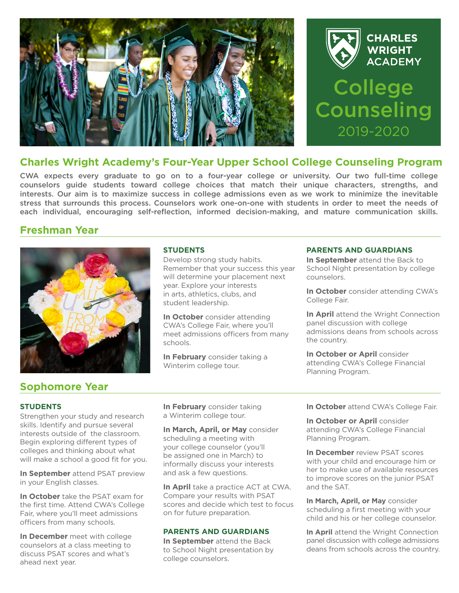



## **Charles Wright Academy's Four-Year Upper School College Counseling Program**

CWA expects every graduate to go on to a four-year college or university. Our two full-time college counselors guide students toward college choices that match their unique characters, strengths, and interests. Our aim is to maximize success in college admissions even as we work to minimize the inevitable stress that surrounds this process. Counselors work one-on-one with students in order to meet the needs of each individual, encouraging self-reflection, informed decision-making, and mature communication skills.

### **Freshman Year**



### **STUDENTS**

Develop strong study habits. Remember that your success this year will determine your placement next year. Explore your interests in arts, athletics, clubs, and student leadership.

**In October** consider attending CWA's College Fair, where you'll meet admissions officers from many schools.

**In February** consider taking a Winterim college tour.

### **PARENTS AND GUARDIANS**

**In September** attend the Back to School Night presentation by college counselors.

**In October** consider attending CWA's College Fair.

**In April** attend the Wright Connection panel discussion with college admissions deans from schools across the country.

**In October or April** consider attending CWA's College Financial Planning Program.

# **Sophomore Year**

### **STUDENTS**

Strengthen your study and research skills. Identify and pursue several interests outside of the classroom. Begin exploring different types of colleges and thinking about what will make a school a good fit for you.

**In September** attend PSAT preview in your English classes.

**In October** take the PSAT exam for the first time. Attend CWA's College Fair, where you'll meet admissions officers from many schools.

**In December** meet with college counselors at a class meeting to discuss PSAT scores and what's ahead next year.

**In February** consider taking a Winterim college tour.

**In March, April, or May** consider scheduling a meeting with your college counselor (you'll be assigned one in March) to informally discuss your interests and ask a few questions.

**In April** take a practice ACT at CWA. Compare your results with PSAT scores and decide which test to focus on for future preparation.

### **PARENTS AND GUARDIANS**

**In September** attend the Back to School Night presentation by college counselors.

**In October** attend CWA's College Fair.

**In October or April** consider attending CWA's College Financial Planning Program.

**In December** review PSAT scores with your child and encourage him or her to make use of available resources to improve scores on the junior PSAT and the SAT.

**In March, April, or May** consider scheduling a first meeting with your child and his or her college counselor.

**In April** attend the Wright Connection panel discussion with college admissions deans from schools across the country.